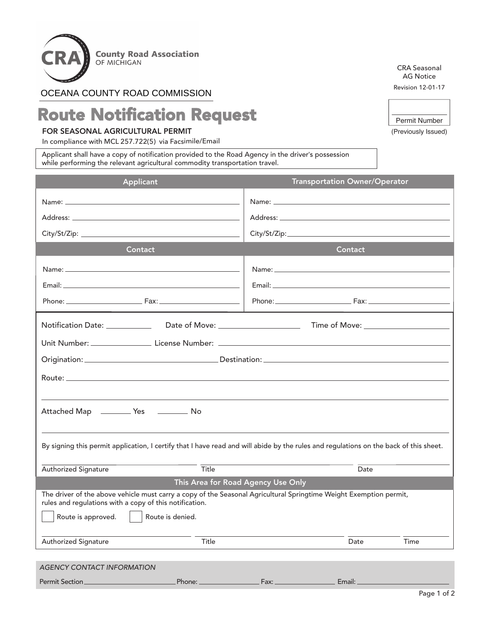

## OCEANA COUNTY ROAD COMMISSION

## Route Notification Request

## FOR SEASONAL AGRICULTURAL PERMIT

In compliance with MCL 257.722(5) via Facsimile/Email

Applicant shall have a copy of notification provided to the Road Agency in the driver's possession while performing the relevant agricultural commodity transportation travel.

Permit Section Phone: Fax: Email:

CRA Seasonal AG Notice Revision 12-01-17

| Permit Number |  |
|---------------|--|

(Previously Issued)

| Applicant                                                                                                                                                                                                                      | <b>Transportation Owner/Operator</b> |  |  |  |  |  |  |
|--------------------------------------------------------------------------------------------------------------------------------------------------------------------------------------------------------------------------------|--------------------------------------|--|--|--|--|--|--|
| Name: Name: Name: Name: Name: Name: Name: Name: Name: Name: Name: Name: Name: Name: Name: Name: Name: Name: Name: Name: Name: Name: Name: Name: Name: Name: Name: Name: Name: Name: Name: Name: Name: Name: Name: Name: Name:  |                                      |  |  |  |  |  |  |
| Address: Address: Address: Address: Address: Address: Address: Address: Address: Address: Address: A                                                                                                                           |                                      |  |  |  |  |  |  |
| City/St/Zip: the contract of the contract of the contract of the contract of the contract of the contract of the contract of the contract of the contract of the contract of the contract of the contract of the contract of t |                                      |  |  |  |  |  |  |
| <b>Contact</b>                                                                                                                                                                                                                 | Contact                              |  |  |  |  |  |  |
|                                                                                                                                                                                                                                |                                      |  |  |  |  |  |  |
|                                                                                                                                                                                                                                |                                      |  |  |  |  |  |  |
|                                                                                                                                                                                                                                | Phone: Fax: Fax:                     |  |  |  |  |  |  |
|                                                                                                                                                                                                                                |                                      |  |  |  |  |  |  |
|                                                                                                                                                                                                                                |                                      |  |  |  |  |  |  |
|                                                                                                                                                                                                                                |                                      |  |  |  |  |  |  |
|                                                                                                                                                                                                                                |                                      |  |  |  |  |  |  |
|                                                                                                                                                                                                                                |                                      |  |  |  |  |  |  |
| Attached Map __________ Yes ___________ No                                                                                                                                                                                     |                                      |  |  |  |  |  |  |
|                                                                                                                                                                                                                                |                                      |  |  |  |  |  |  |
| By signing this permit application, I certify that I have read and will abide by the rules and regulations on the back of this sheet.                                                                                          |                                      |  |  |  |  |  |  |
|                                                                                                                                                                                                                                |                                      |  |  |  |  |  |  |
| Title<br>Authorized Signature                                                                                                                                                                                                  | Date                                 |  |  |  |  |  |  |
| This Area for Road Agency Use Only                                                                                                                                                                                             |                                      |  |  |  |  |  |  |
| The driver of the above vehicle must carry a copy of the Seasonal Agricultural Springtime Weight Exemption permit,<br>rules and regulations with a copy of this notification.                                                  |                                      |  |  |  |  |  |  |
| Route is denied.<br>Route is approved.                                                                                                                                                                                         |                                      |  |  |  |  |  |  |
| <b>Authorized Signature</b><br>Title                                                                                                                                                                                           | Time<br>Date                         |  |  |  |  |  |  |
|                                                                                                                                                                                                                                |                                      |  |  |  |  |  |  |
| <b>AGENCY CONTACT INFORMATION</b>                                                                                                                                                                                              |                                      |  |  |  |  |  |  |